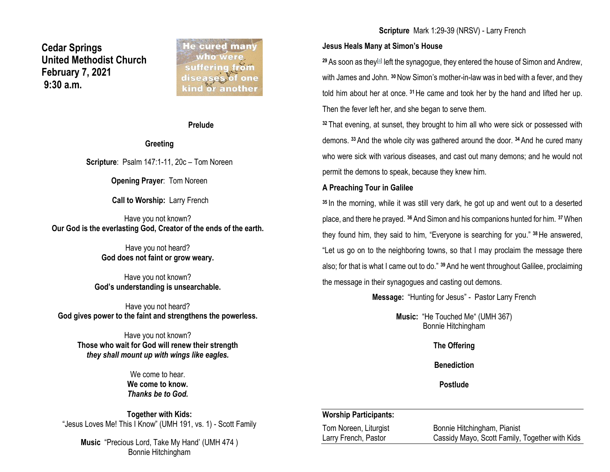**Cedar Springs United Methodist Church February 7, 2021 9:30 a.m.**

**He cured many** who were suffering from diseases of one kind ör another

### **Prelude**

#### **Greeting**

**Scripture**: Psalm 147:1-11, 20c – Tom Noreen

**Opening Prayer**: Tom Noreen

**Call to Worship:** Larry French

Have you not known? **Our God is the everlasting God, Creator of the ends of the earth.**

> Have you not heard? **God does not faint or grow weary.**

Have you not known? **God's understanding is unsearchable.**

Have you not heard? **God gives power to the faint and strengthens the powerless.**

Have you not known? **Those who wait for God will renew their strength** *they shall mount up with wings like eagles.*

> We come to hear. **We come to know.** *Thanks be to God.*

**Together with Kids:** "Jesus Loves Me! This I Know" (UMH 191, vs. 1) - Scott Family

**Music** "Precious Lord, Take My Hand' (UMH 474 ) Bonnie Hitchingham

### **Scripture** Mark 1:29-39 (NRSV) - Larry French

### **Jesus Heals Many at Simon's House**

<sup>29</sup> As soon as they<sup>[\[a\]](https://www.biblegateway.com/passage/?search=Mark+1%3A29-39&version=NRSV#fen-NRSV-24242a)</sup> left the synagogue, they entered the house of Simon and Andrew, with James and John. **<sup>30</sup>**Now Simon's mother-in-law was in bed with a fever, and they told him about her at once. **<sup>31</sup>**He came and took her by the hand and lifted her up. Then the fever left her, and she began to serve them.

**<sup>32</sup>** That evening, at sunset, they brought to him all who were sick or possessed with demons. **<sup>33</sup>**And the whole city was gathered around the door. **<sup>34</sup>**And he cured many who were sick with various diseases, and cast out many demons; and he would not permit the demons to speak, because they knew him.

### **A Preaching Tour in Galilee**

**<sup>35</sup>** In the morning, while it was still very dark, he got up and went out to a deserted place, and there he prayed. **<sup>36</sup>**And Simon and his companions hunted for him. **<sup>37</sup>**When they found him, they said to him, "Everyone is searching for you." **<sup>38</sup>**He answered, "Let us go on to the neighboring towns, so that I may proclaim the message there also; for that is what I came out to do." **<sup>39</sup>**And he went throughout Galilee, proclaiming the message in their synagogues and casting out demons.

**Message:** "Hunting for Jesus" - Pastor Larry French

**Music:** "He Touched Me" (UMH 367) Bonnie Hitchingham

**The Offering**

**Benediction**

**Postlude**

### **Worship Participants:**

Tom Noreen, Liturgist Bonnie Hitchingham, Pianist Larry French, Pastor Cassidy Mayo, Scott Family, Together with Kids